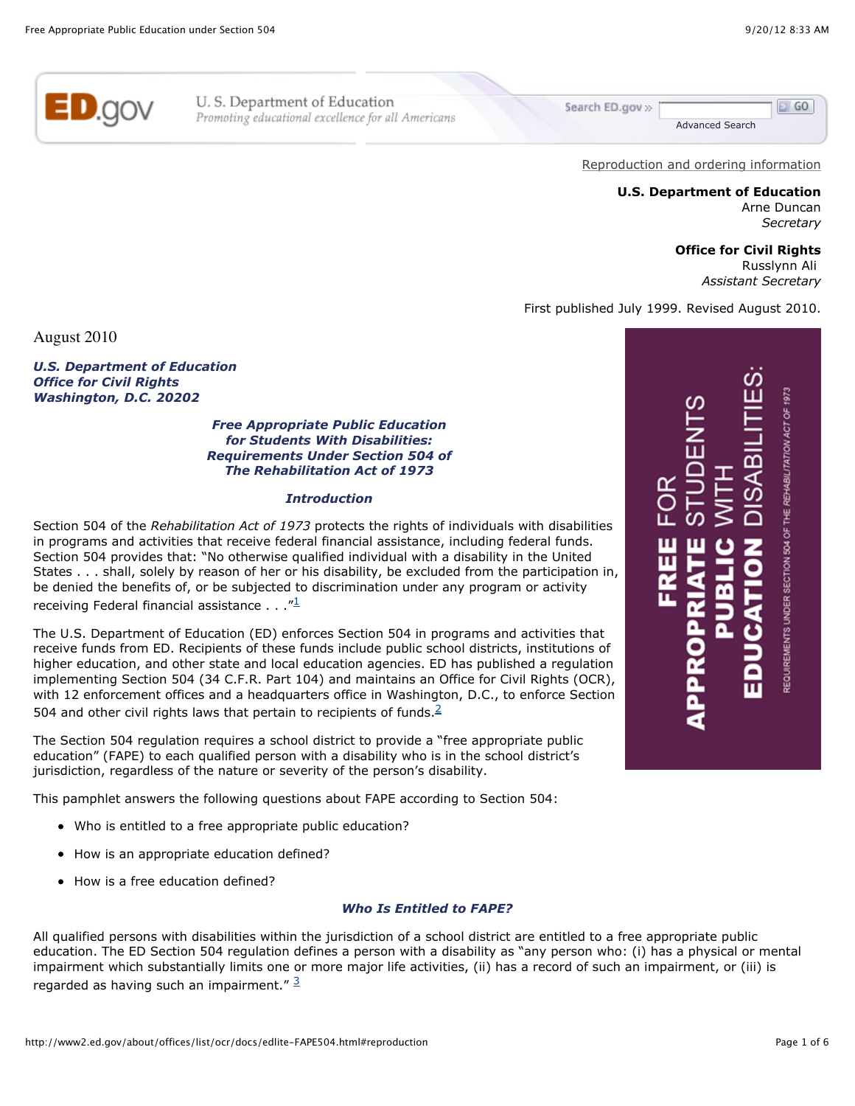$\geq$  GO



U.S. Department of Education Promoting educational excellence for all Americans

Search ED.gov »

[Advanced Search](http://find.ed.gov/search?client=default_frontend&output=xml_no_dtd&proxystylesheet=default_frontend&proxycustom=%3CADVANCED/%3E)

[Reproduction and ordering information](http://www2.ed.gov/about/offices/list/ocr/docs/edlite-FAPE504.html#reproduction)

**U.S. Department of Education** Arne Duncan *Secretary*

> **Office for Civil Rights** Russlynn Ali *Assistant Secretary*

First published July 1999. Revised August 2010.

August 2010

*U.S. Department of Education Office for Civil Rights Washington, D.C. 20202*

> *Free Appropriate Public Education for Students With Disabilities: Requirements Under Section 504 of The Rehabilitation Act of 1973*

### *Introduction*

Section 504 of the *Rehabilitation Act of 1973* protects the rights of individuals with disabilities in programs and activities that receive federal financial assistance, including federal funds. Section 504 provides that: "No otherwise qualified individual with a disability in the United States . . . shall, solely by reason of her or his disability, be excluded from the participation in, be denied the benefits of, or be subjected to discrimination under any program or activity receiving Federal financial assistance  $\ldots$ <sup>["1](http://www2.ed.gov/about/offices/list/ocr/docs/edlite-FAPE504.html#note1)</sup>

The U.S. Department of Education (ED) enforces Section 504 in programs and activities that receive funds from ED. Recipients of these funds include public school districts, institutions of higher education, and other state and local education agencies. ED has published a regulation implementing Section 504 (34 C.F.R. Part 104) and maintains an Office for Civil Rights (OCR), with 12 enforcement offices and a headquarters office in Washington, D.C., to enforce Section 504 and other civil rights laws that pertain to recipients of funds.<sup>2</sup>

The Section 504 regulation requires a school district to provide a "free appropriate public education" (FAPE) to each qualified person with a disability who is in the school district's jurisdiction, regardless of the nature or severity of the person's disability.

This pamphlet answers the following questions about FAPE according to Section 504:

- Who is entitled to a free appropriate public education?
- How is an appropriate education defined?
- How is a free education defined?

## *Who Is Entitled to FAPE?*

All qualified persons with disabilities within the jurisdiction of a school district are entitled to a free appropriate public education. The ED Section 504 regulation defines a person with a disability as "any person who: (i) has a physical or mental impairment which substantially limits one or more major life activities, (ii) has a record of such an impairment, or (iii) is regarded as having such an impairment."  $\frac{3}{2}$ 

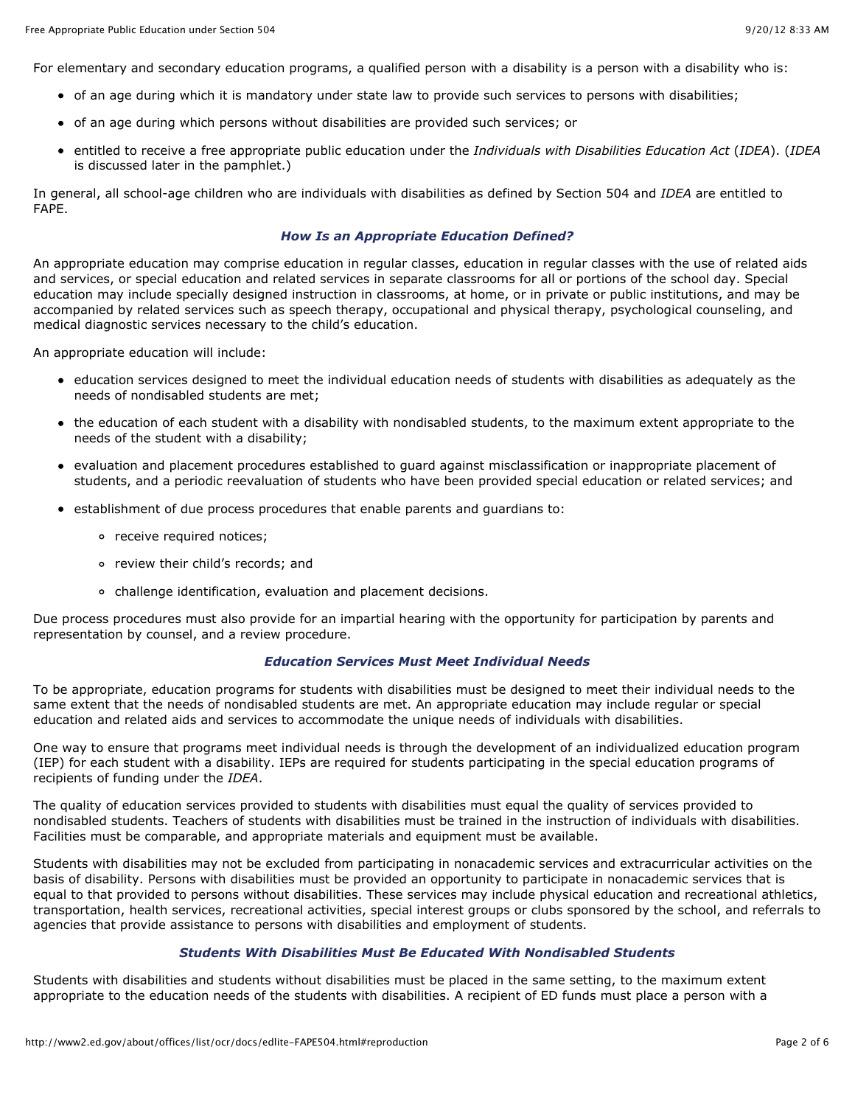For elementary and secondary education programs, a qualified person with a disability is a person with a disability who is:

- of an age during which it is mandatory under state law to provide such services to persons with disabilities;
- of an age during which persons without disabilities are provided such services; or
- entitled to receive a free appropriate public education under the *Individuals with Disabilities Education Act* (*IDEA*). (*IDEA* is discussed later in the pamphlet.)

In general, all school-age children who are individuals with disabilities as defined by Section 504 and *IDEA* are entitled to FAPE.

#### *How Is an Appropriate Education Defined?*

An appropriate education may comprise education in regular classes, education in regular classes with the use of related aids and services, or special education and related services in separate classrooms for all or portions of the school day. Special education may include specially designed instruction in classrooms, at home, or in private or public institutions, and may be accompanied by related services such as speech therapy, occupational and physical therapy, psychological counseling, and medical diagnostic services necessary to the child's education.

An appropriate education will include:

- education services designed to meet the individual education needs of students with disabilities as adequately as the needs of nondisabled students are met;
- the education of each student with a disability with nondisabled students, to the maximum extent appropriate to the needs of the student with a disability;
- evaluation and placement procedures established to guard against misclassification or inappropriate placement of students, and a periodic reevaluation of students who have been provided special education or related services; and
- establishment of due process procedures that enable parents and guardians to:
	- receive required notices;
	- review their child's records; and
	- challenge identification, evaluation and placement decisions.

Due process procedures must also provide for an impartial hearing with the opportunity for participation by parents and representation by counsel, and a review procedure.

#### *Education Services Must Meet Individual Needs*

To be appropriate, education programs for students with disabilities must be designed to meet their individual needs to the same extent that the needs of nondisabled students are met. An appropriate education may include regular or special education and related aids and services to accommodate the unique needs of individuals with disabilities.

One way to ensure that programs meet individual needs is through the development of an individualized education program (IEP) for each student with a disability. IEPs are required for students participating in the special education programs of recipients of funding under the *IDEA*.

The quality of education services provided to students with disabilities must equal the quality of services provided to nondisabled students. Teachers of students with disabilities must be trained in the instruction of individuals with disabilities. Facilities must be comparable, and appropriate materials and equipment must be available.

Students with disabilities may not be excluded from participating in nonacademic services and extracurricular activities on the basis of disability. Persons with disabilities must be provided an opportunity to participate in nonacademic services that is equal to that provided to persons without disabilities. These services may include physical education and recreational athletics, transportation, health services, recreational activities, special interest groups or clubs sponsored by the school, and referrals to agencies that provide assistance to persons with disabilities and employment of students.

# *Students With Disabilities Must Be Educated With Nondisabled Students*

Students with disabilities and students without disabilities must be placed in the same setting, to the maximum extent appropriate to the education needs of the students with disabilities. A recipient of ED funds must place a person with a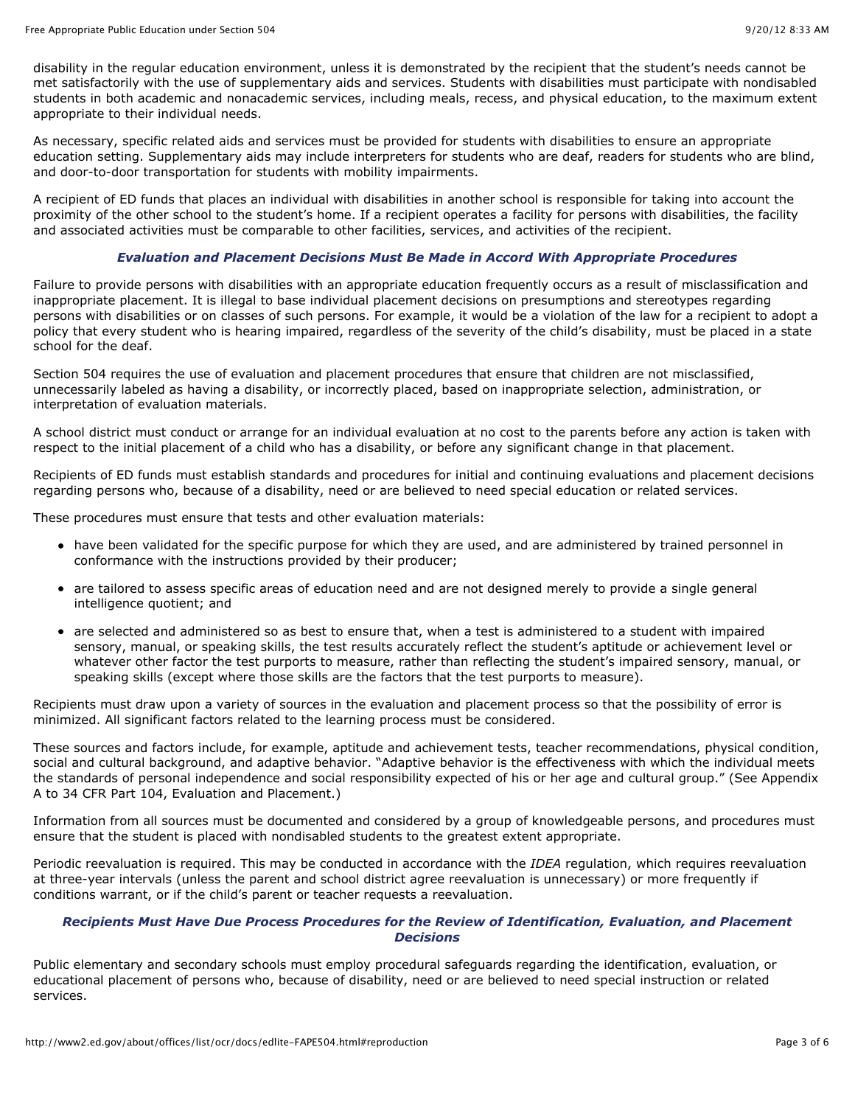disability in the regular education environment, unless it is demonstrated by the recipient that the student's needs cannot be met satisfactorily with the use of supplementary aids and services. Students with disabilities must participate with nondisabled students in both academic and nonacademic services, including meals, recess, and physical education, to the maximum extent appropriate to their individual needs.

As necessary, specific related aids and services must be provided for students with disabilities to ensure an appropriate education setting. Supplementary aids may include interpreters for students who are deaf, readers for students who are blind, and door-to-door transportation for students with mobility impairments.

A recipient of ED funds that places an individual with disabilities in another school is responsible for taking into account the proximity of the other school to the student's home. If a recipient operates a facility for persons with disabilities, the facility and associated activities must be comparable to other facilities, services, and activities of the recipient.

## *Evaluation and Placement Decisions Must Be Made in Accord With Appropriate Procedures*

Failure to provide persons with disabilities with an appropriate education frequently occurs as a result of misclassification and inappropriate placement. It is illegal to base individual placement decisions on presumptions and stereotypes regarding persons with disabilities or on classes of such persons. For example, it would be a violation of the law for a recipient to adopt a policy that every student who is hearing impaired, regardless of the severity of the child's disability, must be placed in a state school for the deaf.

Section 504 requires the use of evaluation and placement procedures that ensure that children are not misclassified, unnecessarily labeled as having a disability, or incorrectly placed, based on inappropriate selection, administration, or interpretation of evaluation materials.

A school district must conduct or arrange for an individual evaluation at no cost to the parents before any action is taken with respect to the initial placement of a child who has a disability, or before any significant change in that placement.

Recipients of ED funds must establish standards and procedures for initial and continuing evaluations and placement decisions regarding persons who, because of a disability, need or are believed to need special education or related services.

These procedures must ensure that tests and other evaluation materials:

- have been validated for the specific purpose for which they are used, and are administered by trained personnel in conformance with the instructions provided by their producer;
- are tailored to assess specific areas of education need and are not designed merely to provide a single general intelligence quotient; and
- are selected and administered so as best to ensure that, when a test is administered to a student with impaired sensory, manual, or speaking skills, the test results accurately reflect the student's aptitude or achievement level or whatever other factor the test purports to measure, rather than reflecting the student's impaired sensory, manual, or speaking skills (except where those skills are the factors that the test purports to measure).

Recipients must draw upon a variety of sources in the evaluation and placement process so that the possibility of error is minimized. All significant factors related to the learning process must be considered.

These sources and factors include, for example, aptitude and achievement tests, teacher recommendations, physical condition, social and cultural background, and adaptive behavior. "Adaptive behavior is the effectiveness with which the individual meets the standards of personal independence and social responsibility expected of his or her age and cultural group." (See Appendix A to 34 CFR Part 104, Evaluation and Placement.)

Information from all sources must be documented and considered by a group of knowledgeable persons, and procedures must ensure that the student is placed with nondisabled students to the greatest extent appropriate.

Periodic reevaluation is required. This may be conducted in accordance with the *IDEA* regulation, which requires reevaluation at three-year intervals (unless the parent and school district agree reevaluation is unnecessary) or more frequently if conditions warrant, or if the child's parent or teacher requests a reevaluation.

## *Recipients Must Have Due Process Procedures for the Review of Identification, Evaluation, and Placement Decisions*

Public elementary and secondary schools must employ procedural safeguards regarding the identification, evaluation, or educational placement of persons who, because of disability, need or are believed to need special instruction or related services.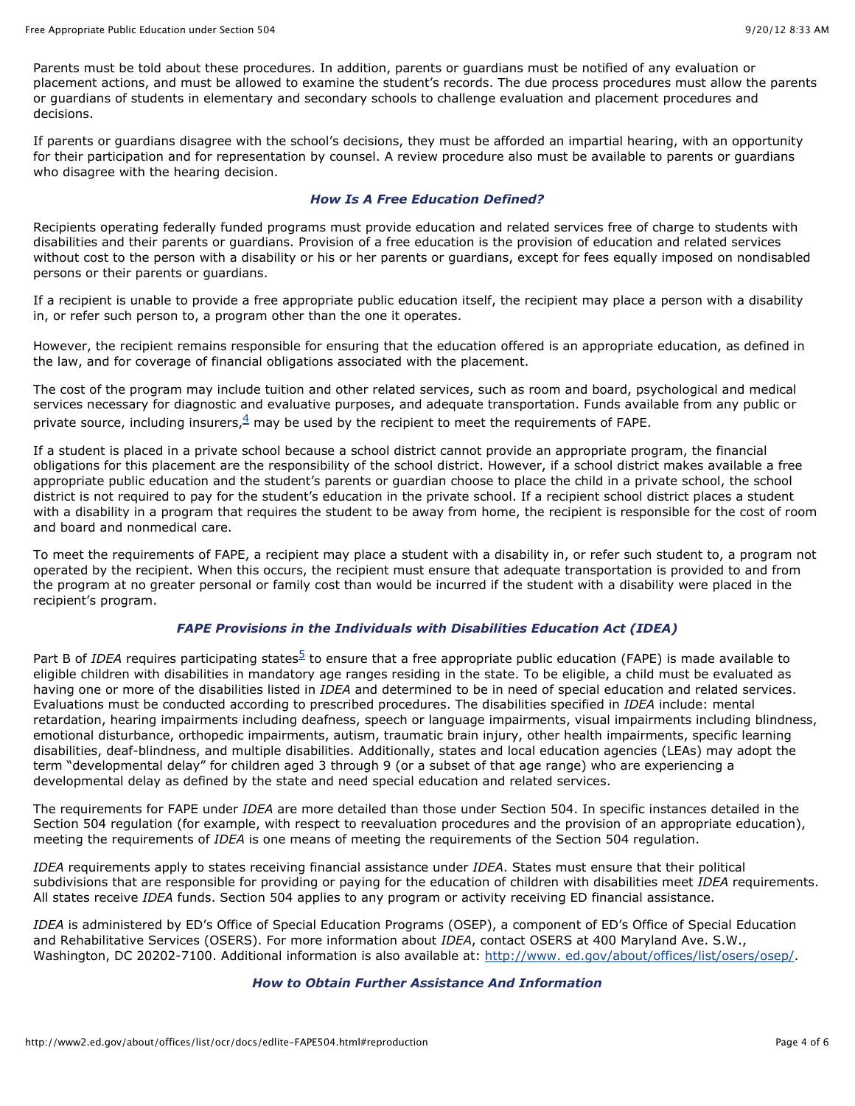Parents must be told about these procedures. In addition, parents or guardians must be notified of any evaluation or placement actions, and must be allowed to examine the student's records. The due process procedures must allow the parents or guardians of students in elementary and secondary schools to challenge evaluation and placement procedures and decisions.

If parents or guardians disagree with the school's decisions, they must be afforded an impartial hearing, with an opportunity for their participation and for representation by counsel. A review procedure also must be available to parents or guardians who disagree with the hearing decision.

# *How Is A Free Education Defined?*

Recipients operating federally funded programs must provide education and related services free of charge to students with disabilities and their parents or guardians. Provision of a free education is the provision of education and related services without cost to the person with a disability or his or her parents or guardians, except for fees equally imposed on nondisabled persons or their parents or guardians.

If a recipient is unable to provide a free appropriate public education itself, the recipient may place a person with a disability in, or refer such person to, a program other than the one it operates.

However, the recipient remains responsible for ensuring that the education offered is an appropriate education, as defined in the law, and for coverage of financial obligations associated with the placement.

The cost of the program may include tuition and other related services, such as room and board, psychological and medical services necessary for diagnostic and evaluative purposes, and adequate transportation. Funds available from any public or private source, including insurers,  $\frac{4}{5}$  may be used by the recipient to meet the requirements of FAPE.

If a student is placed in a private school because a school district cannot provide an appropriate program, the financial obligations for this placement are the responsibility of the school district. However, if a school district makes available a free appropriate public education and the student's parents or guardian choose to place the child in a private school, the school district is not required to pay for the student's education in the private school. If a recipient school district places a student with a disability in a program that requires the student to be away from home, the recipient is responsible for the cost of room and board and nonmedical care.

To meet the requirements of FAPE, a recipient may place a student with a disability in, or refer such student to, a program not operated by the recipient. When this occurs, the recipient must ensure that adequate transportation is provided to and from the program at no greater personal or family cost than would be incurred if the student with a disability were placed in the recipient's program.

## *FAPE Provisions in the Individuals with Disabilities Education Act (IDEA)*

Part B of *IDEA* requires participating states<sup>5</sup> to ensure that a free appropriate public education (FAPE) is made available to eligible children with disabilities in mandatory age ranges residing in the state. To be eligible, a child must be evaluated as having one or more of the disabilities listed in *IDEA* and determined to be in need of special education and related services. Evaluations must be conducted according to prescribed procedures. The disabilities specified in *IDEA* include: mental retardation, hearing impairments including deafness, speech or language impairments, visual impairments including blindness, emotional disturbance, orthopedic impairments, autism, traumatic brain injury, other health impairments, specific learning disabilities, deaf-blindness, and multiple disabilities. Additionally, states and local education agencies (LEAs) may adopt the term "developmental delay" for children aged 3 through 9 (or a subset of that age range) who are experiencing a developmental delay as defined by the state and need special education and related services.

The requirements for FAPE under *IDEA* are more detailed than those under Section 504. In specific instances detailed in the Section 504 regulation (for example, with respect to reevaluation procedures and the provision of an appropriate education), meeting the requirements of *IDEA* is one means of meeting the requirements of the Section 504 regulation.

*IDEA* requirements apply to states receiving financial assistance under *IDEA*. States must ensure that their political subdivisions that are responsible for providing or paying for the education of children with disabilities meet *IDEA* requirements. All states receive *IDEA* funds. Section 504 applies to any program or activity receiving ED financial assistance.

*IDEA* is administered by ED's Office of Special Education Programs (OSEP), a component of ED's Office of Special Education and Rehabilitative Services (OSERS). For more information about *IDEA*, contact OSERS at 400 Maryland Ave. S.W., Washington, DC 20202-7100. Additional information is also available at: [http://www. ed.gov/about/offices/list/osers/osep/](http://www.ed.gov/about/offices/list/osers/osep/).

# *How to Obtain Further Assistance And Information*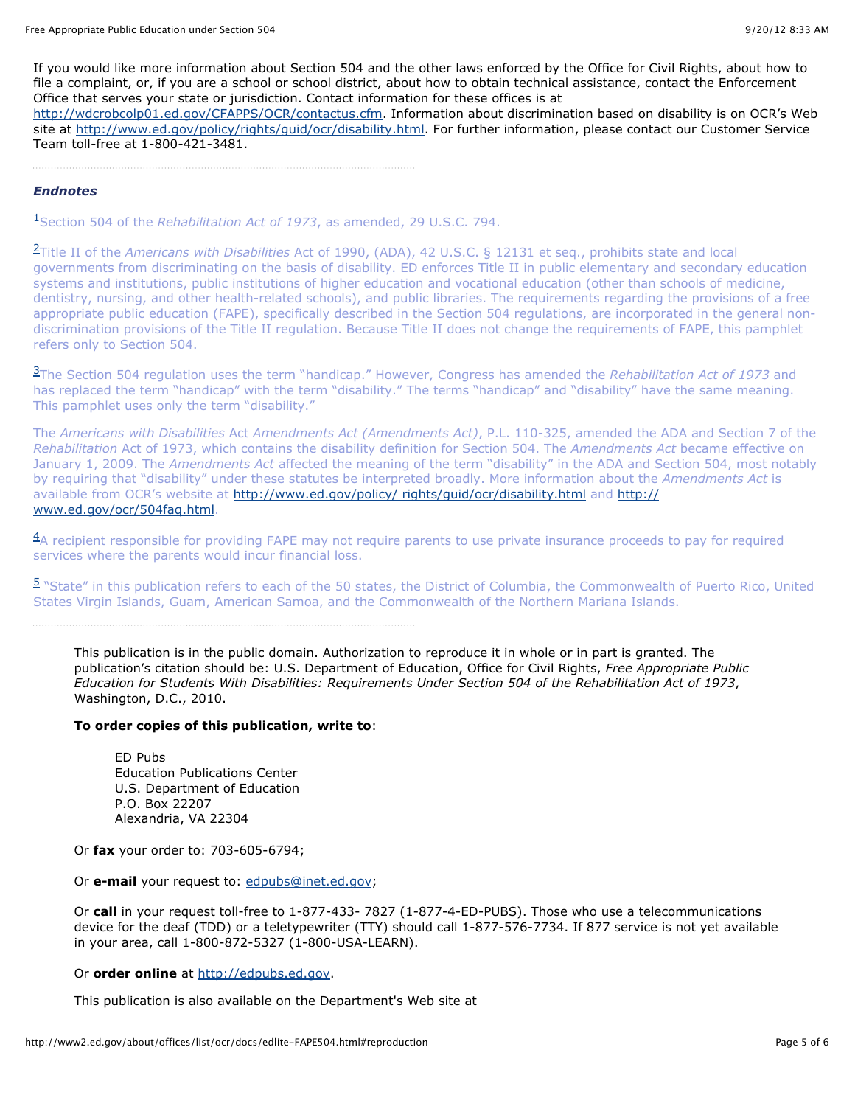If you would like more information about Section 504 and the other laws enforced by the Office for Civil Rights, about how to file a complaint, or, if you are a school or school district, about how to obtain technical assistance, contact the Enforcement Office that serves your state or jurisdiction. Contact information for these offices is at

[http://wdcrobcolp01.ed.gov/CFAPPS/OCR/contactus.cfm.](http://wdcrobcolp01.ed.gov/CFAPPS/OCR/contactus.cfm) Information about discrimination based on disability is on OCR's Web site at [http://www.ed.gov/policy/rights/guid/ocr/disability.html.](http://www.ed.gov/policy/rights/guid/ocr/disability.html) For further information, please contact our Customer Service Team toll-free at 1-800-421-3481.

# 

*Endnotes*

[1S](http://www2.ed.gov/about/offices/list/ocr/docs/edlite-FAPE504.html#textnote1)ection 504 of the *Rehabilitation Act of 1973*, as amended, 29 U.S.C. 794.

[2T](http://www2.ed.gov/about/offices/list/ocr/docs/edlite-FAPE504.html#textnote2)itle II of the *Americans with Disabilities* Act of 1990, (ADA), 42 U.S.C. § 12131 et seq., prohibits state and local governments from discriminating on the basis of disability. ED enforces Title II in public elementary and secondary education systems and institutions, public institutions of higher education and vocational education (other than schools of medicine, dentistry, nursing, and other health-related schools), and public libraries. The requirements regarding the provisions of a free appropriate public education (FAPE), specifically described in the Section 504 regulations, are incorporated in the general nondiscrimination provisions of the Title II regulation. Because Title II does not change the requirements of FAPE, this pamphlet refers only to Section 504.

[3T](http://www2.ed.gov/about/offices/list/ocr/docs/edlite-FAPE504.html#textnote3)he Section 504 regulation uses the term "handicap." However, Congress has amended the *Rehabilitation Act of 1973* and has replaced the term "handicap" with the term "disability." The terms "handicap" and "disability" have the same meaning. This pamphlet uses only the term "disability."

The *Americans with Disabilities* Act *Amendments Act (Amendments Act)*, P.L. 110-325, amended the ADA and Section 7 of the *Rehabilitation* Act of 1973, which contains the disability definition for Section 504. The *Amendments Act* became effective on January 1, 2009. The *Amendments Act* affected the meaning of the term "disability" in the ADA and Section 504, most notably by requiring that "disability" under these statutes be interpreted broadly. More information about the *Amendments Act* is [available from OCR's website at](http://www.ed.gov/ocr/504faq.html) [http://www.ed.gov/policy/ rights/guid/ocr/disability.html](http://www.ed.gov/policy/rights/guid/ocr/disability.html) [and http://](http://www.ed.gov/ocr/504faq.html) www.ed.gov/ocr/504faq.html.

<sup>4</sup>A recipient responsible for providing FAPE may not require parents to use private insurance proceeds to pay for required services where the parents would incur financial loss.

[5](http://www2.ed.gov/about/offices/list/ocr/docs/edlite-FAPE504.html#textnote5) "State" in this publication refers to each of the 50 states, the District of Columbia, the Commonwealth of Puerto Rico, United States Virgin Islands, Guam, American Samoa, and the Commonwealth of the Northern Mariana Islands.

This publication is in the public domain. Authorization to reproduce it in whole or in part is granted. The publication's citation should be: U.S. Department of Education, Office for Civil Rights, *Free Appropriate Public Education for Students With Disabilities: Requirements Under Section 504 of the Rehabilitation Act of 1973*, Washington, D.C., 2010.

#### **To order copies of this publication, write to**:

ED Pubs Education Publications Center U.S. Department of Education P.O. Box 22207 Alexandria, VA 22304

Or **fax** your order to: 703-605-6794;

Or **e-mail** your request to: [edpubs@inet.ed.gov;](mailto:edpubs@inet.ed.gov)

Or **call** in your request toll-free to 1-877-433- 7827 (1-877-4-ED-PUBS). Those who use a telecommunications device for the deaf (TDD) or a teletypewriter (TTY) should call 1-877-576-7734. If 877 service is not yet available in your area, call 1-800-872-5327 (1-800-USA-LEARN).

Or **order online** at [http://edpubs.ed.gov.](http://edpubs.ed.gov/)

This publication is also available on the Department's Web site at